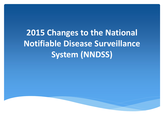# **2015 Changes to the National Notifiable Disease Surveillance System (NNDSS)**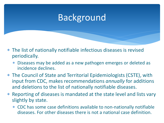## Background

- ∗ The list of nationally notifiable infectious diseases is revised periodically.
	- ∗ Diseases may be added as a new pathogen emerges or deleted as incidence declines.
- ∗ The Council of State and Territorial Epidemiologists (CSTE), with input from CDC, makes recommendations *annually* for additions and deletions to the list of nationally notifiable diseases.
- ∗ Reporting of diseases is mandated at the state level and lists vary slightly by state.
	- ∗ CDC has some case definitions available to non-nationally notifiable diseases. For other diseases there is not a national case definition.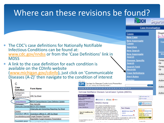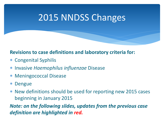## 2015 NNDSS Changes

### **Revisions to case definitions and laboratory criteria for:**

- ∗ Congenital Syphilis
- ∗ Invasive *Haemophilus influenzae* Disease
- ∗ Meningococcal Disease
- ∗ Dengue
- ∗ New definitions should be used for reporting new 2015 cases beginning in January 2015

*Note: on the following slides, updates from the previous case definition are highlighted in red.*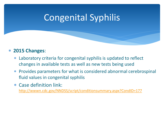## Congenital Syphilis

### ∗ **2015 Changes**:

- ∗ Laboratory criteria for congenital syphilis is updated to reflect changes in available tests as well as new tests being used
- ∗ Provides parameters for what is considered abnormal cerebrospinal fluid values in congenital syphilis
- ∗ Case definition link: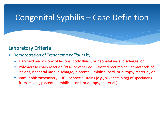### Congenital Syphilis – Case Definition

#### **Laboratory Criteria**

- ∗ Demonstration of *Treponema pallidum* by:
	- ∗ Darkfield microscopy of lesions, body fluids, or neonatal nasal discharge, or
	- ∗ Polymerase chain reaction (PCR) or other equivalent direct molecular methods of lesions, neonatal nasal discharge, placenta, umbilical cord, or autopsy material, or
	- ∗ Immunohistochemistry (IHC), or special stains (e.g., silver staining) of specimens from lesions, placenta, umbilical cord, or autopsy material.]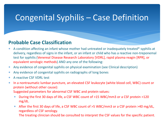### Congenital Syphilis – Case Definition

#### **Probable Case Classification**

- ∗ A condition affecting an infant whose mother had untreated or inadequately treated\* syphilis at delivery, regardless of signs in the infant, or an infant or child who has a reactive non-treponemal test for syphilis (Venereal Disease Research Laboratory [VDRL], rapid plasma reagin [RPR], or equivalent serologic methods) AND any one of the following:
- ∗ Any evidence of congenital syphilis on physical examination (see Clinical description)
- ∗ Any evidence of congenital syphilis on radiographs of long bones
- ∗ A reactive CSF VDRL test
- ∗ In a nontraumatic lumbar puncture, an elevated CSF leukocyte (white blood cell, WBC) count or protein (without other cause):
	- Suggested parameters for abnormal CSF WBC and protein values:
	- ∗ During the first 30 days of life, a CSF WBC count of >15 WBC/mm3 or a CSF protein >120 mg/dL.
	- ∗ After the first 30 days of life, a CSF WBC count of >5 WBC/mm3 or a CSF protein >40 mg/dL, regardless of CSF serology. The treating clinician should be consulted to interpret the CSF values for the specific patient.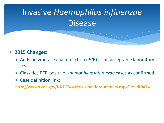# Invasive *Haemophilus influenzae* Disease

### ∗ **2015 Changes:**

- ∗ Adds polymerase chain reaction (PCR) as an acceptable laboratory test
- ∗ Classifies PCR-positive *Haemophilus influenzae* cases as confirmed
- ∗ Case definition link: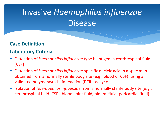# Invasive *Haemophilus influenzae* **Disease**

### **Case Definition:**

#### **Laboratory Criteria**

- ∗ Detection of *Haemophilus influenzae* type b antigen in cerebrospinal fluid [CSF]
- ∗ Detection of *Haemophilus influenzae*-specific nucleic acid in a specimen obtained from a normally sterile body site (e.g., blood or CSF), using a validated polymerase chain reaction (PCR) assay; or
- ∗ Isolation of *Haemophilus influenzae* from a normally sterile body site (e.g., cerebrospinal fluid [CSF], blood, joint fluid, pleural fluid, pericardial fluid)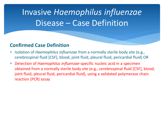## Invasive *Haemophilus influenzae* Disease – Case Definition

#### **Confirmed Case Definition**

- ∗ Isolation of *Haemophilus influenzae* from a normally sterile body site (e.g., cerebrospinal fluid [CSF], blood, joint fluid, pleural fluid, pericardial fluid) OR
- ∗ Detection of *Haemophilus influenzae*-specific nucleic acid in a specimen obtained from a normally sterile body site (e.g., cerebrospinal fluid [CSF], blood, joint fluid, pleural fluid, pericardial fluid), using a validated polymerase chain reaction (PCR) assay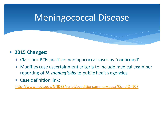## Meningococcal Disease

#### ∗ **2015 Changes:**

- ∗ Classifies PCR-positive meningococcal cases as "confirmed'
- ∗ Modifies case ascertainment criteria to include medical examiner reporting of *N. meningitidis* to public health agencies
- ∗ Case definition link: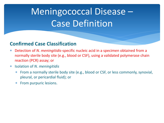# Meningococcal Disease – Case Definition

#### **Confirmed Case Classification**

- ∗ Detection of *N. meningitidis*-specific nucleic acid in a specimen obtained from a normally sterile body site (e.g., blood or CSF), using a validated polymerase chain reaction (PCR) assay; or
- ∗ Isolation of *N. meningitidis*
	- From a normally sterile body site (e.g., blood or CSF, or less commonly, synovial, pleural, or pericardial fluid); or
	- ∗ From purpuric lesions.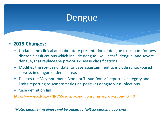### Dengue

### ∗ **2015 Changes:**

- ∗ Updates the clinical and laboratory presentation of dengue to account for new disease classifications which include dengue-like illness\*, dengue, and severe dengue, that replace the previous disease classifications
- Modifies the sources of data for case ascertainment to include school-based surveys in dengue endemic areas
- ∗ Deletes the "Asymptomatic Blood or Tissue Donor" reporting category and limits reporting to symptomatic (lab-positive) dengue virus infections
- ∗ Case definition link:

<http://wwwn.cdc.gov/NNDSS/script/conditionsummary.aspx?CondID=40>

*\*Note: dengue-like illness will be added to NNDSS pending approval*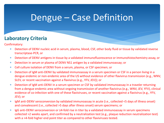## Dengue – Case Definition

### **Laboratory Criteria**

Confirmatory:

- ∗ Detection of DENV nucleic acid in serum, plasma, blood, CSF, other body fluid or tissue by validated reverse transcriptase-PCR, or
- ∗ Detection of DENV antigens in tissue by a validated immunofluorescence or immunohistochemistry assay, or
- ∗ Detection in serum or plasma of DENV NS1 antigen by a validated immunoassay; or
- ∗ Cell culture isolation of DENV from a serum, plasma, or CSF specimen; or
- ∗ Detection of IgM anti-DENV by validated immunoassay in a serum specimen or CSF in a person living in a dengue endemic or non-endemic area of the US without evidence of other flavivirus transmission (e.g., WNV, SLEV, or recent vaccination against a flavivirus (e.g., YFV, JEV)); or
- ∗ Detection of IgM anti-DENV in a serum specimen or CSF by validated immunoassay in a traveler returning from a dengue endemic area without ongoing transmission of another flavivirus (e.g., WNV, JEV, YFV), clinical evidence of co-infection with one of these flaviviruses, or recent vaccination against a flavivirus (e.g., YFV, JEV); or
- ∗ IgM anti-DENV seroconversion by validated immunoassay in acute (i.e., collected <5 days of illness onset) and convalescent (i.e., collected >5 days after illness onset) serum specimens; or
- ∗ IgG anti-DENV seroconversion or ≥4-fold rise in titer by a validated immunoassay in serum specimens collected >2 weeks apart, and confirmed by a neutralization test (e.g., plaque reduction neutralization test) with a >4-fold higher end point titer as compared to other flaviviruses tested.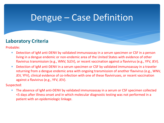## Dengue – Case Definition

### **Laboratory Criteria**

Probable:

- ∗ Detection of IgM anti-DENV by validated immunoassay in a serum specimen or CSF in a person living in a dengue endemic or non-endemic area of the United States with evidence of other flavivirus transmission (e.g., WNV, SLEV), or recent vaccination against a flavivirus (e.g., YFV, JEV).
- ∗ Detection of IgM anti-DENV in a serum specimen or CSF by validated immunoassay in a traveler returning from a dengue endemic area with ongoing transmission of another flavivirus (e.g., WNV, JEV, YFV), clinical evidence of co-infection with one of these flaviviruses, or recent vaccination against a flavivirus (e.g., YFV, JEV).

Suspected:

∗ The absence of IgM anti-DENV by validated immunoassay in a serum or CSF specimen collected <5 days after illness onset and in which molecular diagnostic testing was not performed in a patient with an epidemiologic linkage.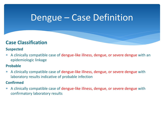### Dengue – Case Definition

### **Case Classification**

#### **Suspected**

∗ A clinically compatible case of dengue-like illness, dengue, or severe dengue with an epidemiologic linkage

#### **Probable**

∗ A clinically compatible case of dengue-like illness, dengue, or severe dengue with laboratory results indicative of probable infection

#### **Confirmed**

∗ A clinically compatible case of dengue-like illness, dengue, or severe dengue with confirmatory laboratory results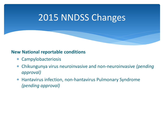## 2015 NNDSS Changes

#### **New National reportable conditions**

- ∗ Campylobacteriosis
- ∗ Chikungunya virus neuroinvasive and non-neuroinvasive *(pending approval)*
- ∗ Hantavirus infection, non-hantavirus Pulmonary Syndrome *(pending approval)*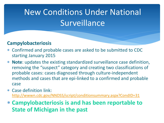## New Conditions Under National **Surveillance**

### **Campylobacteriosis**

- ∗ Confirmed and probable cases are asked to be submitted to CDC starting January 2015
- ∗ **Note**: updates the existing standardized surveillance case definition, removing the "suspect" category and creating two classifications of probable cases: cases diagnosed through culture-independent methods and cases that are epi-linked to a confirmed and probable case
- ∗ Case definition link: <http://wwwn.cdc.gov/NNDSS/script/conditionsummary.aspx?CondID=31>
- ∗ **Campylobacteriosis is and has been reportable to State of Michigan in the past**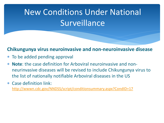# New Conditions Under National **Surveillance**

#### **Chikungunya virus neuroinvasive and non-neuroinvasive disease**

- ∗ To be added pending approval
- ∗ **Note**: the case definition for Arboviral neuroinvasive and nonneurinvasive diseases will be revised to include Chikungunya virus to the list of nationally notifiable Arboviral diseases in the US
- ∗ Case definition link: